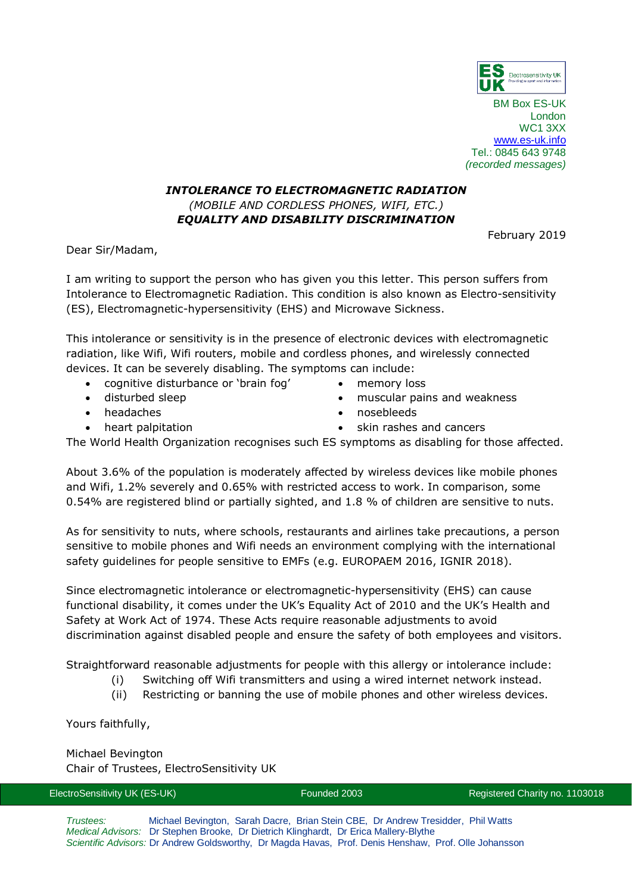

BM Box ES-UK London WC1 3XX [www.es-uk.info](http://www.es-uk.info/) Tel.: 0845 643 9748 *(recorded messages)*

## *INTOLERANCE TO ELECTROMAGNETIC RADIATION (MOBILE AND CORDLESS PHONES, WIFI, ETC.) EQUALITY AND DISABILITY DISCRIMINATION*

February 2019

Dear Sir/Madam,

I am writing to support the person who has given you this letter. This person suffers from Intolerance to Electromagnetic Radiation. This condition is also known as Electro-sensitivity (ES), Electromagnetic-hypersensitivity (EHS) and Microwave Sickness.

This intolerance or sensitivity is in the presence of electronic devices with electromagnetic radiation, like Wifi, Wifi routers, mobile and cordless phones, and wirelessly connected devices. It can be severely disabling. The symptoms can include:

- cognitive disturbance or 'brain fog'
- disturbed sleep
- headaches
- memory loss
- muscular pains and weakness
- nosebleeds

• heart palpitation

skin rashes and cancers

The World Health Organization recognises such ES symptoms as disabling for those affected.

About 3.6% of the population is moderately affected by wireless devices like mobile phones and Wifi, 1.2% severely and 0.65% with restricted access to work. In comparison, some 0.54% are registered blind or partially sighted, and 1.8 % of children are sensitive to nuts.

As for sensitivity to nuts, where schools, restaurants and airlines take precautions, a person sensitive to mobile phones and Wifi needs an environment complying with the international safety guidelines for people sensitive to EMFs (e.g. EUROPAEM 2016, IGNIR 2018).

Since electromagnetic intolerance or electromagnetic-hypersensitivity (EHS) can cause functional disability, it comes under the UK's Equality Act of 2010 and the UK's Health and Safety at Work Act of 1974. These Acts require reasonable adjustments to avoid discrimination against disabled people and ensure the safety of both employees and visitors.

Straightforward reasonable adjustments for people with this allergy or intolerance include:

- (i) Switching off Wifi transmitters and using a wired internet network instead.
- (ii) Restricting or banning the use of mobile phones and other wireless devices.

Yours faithfully,

Michael Bevington Chair of Trustees, ElectroSensitivity UK